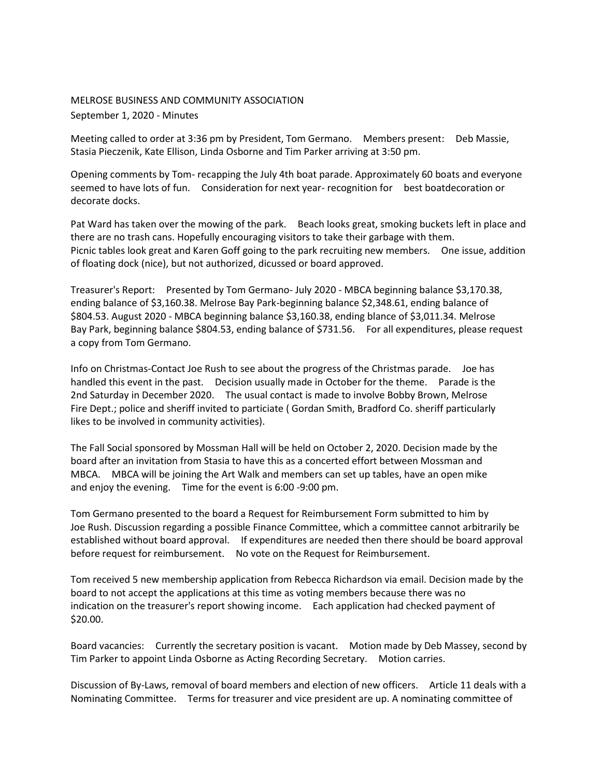## MELROSE BUSINESS AND COMMUNITY ASSOCIATION September 1, 2020 - Minutes

Meeting called to order at 3:36 pm by President, Tom Germano. Members present: Deb Massie, Stasia Pieczenik, Kate Ellison, Linda Osborne and Tim Parker arriving at 3:50 pm.

Opening comments by Tom- recapping the July 4th boat parade. Approximately 60 boats and everyone seemed to have lots of fun. Consideration for next year- recognition for best boatdecoration or decorate docks.

Pat Ward has taken over the mowing of the park. Beach looks great, smoking buckets left in place and there are no trash cans. Hopefully encouraging visitors to take their garbage with them. Picnic tables look great and Karen Goff going to the park recruiting new members. One issue, addition of floating dock (nice), but not authorized, dicussed or board approved.

Treasurer's Report: Presented by Tom Germano- July 2020 - MBCA beginning balance \$3,170.38, ending balance of \$3,160.38. Melrose Bay Park-beginning balance \$2,348.61, ending balance of \$804.53. August 2020 - MBCA beginning balance \$3,160.38, ending blance of \$3,011.34. Melrose Bay Park, beginning balance \$804.53, ending balance of \$731.56. For all expenditures, please request a copy from Tom Germano.

Info on Christmas-Contact Joe Rush to see about the progress of the Christmas parade. Joe has handled this event in the past. Decision usually made in October for the theme. Parade is the 2nd Saturday in December 2020. The usual contact is made to involve Bobby Brown, Melrose Fire Dept.; police and sheriff invited to particiate ( Gordan Smith, Bradford Co. sheriff particularly likes to be involved in community activities).

The Fall Social sponsored by Mossman Hall will be held on October 2, 2020. Decision made by the board after an invitation from Stasia to have this as a concerted effort between Mossman and MBCA. MBCA will be joining the Art Walk and members can set up tables, have an open mike and enjoy the evening. Time for the event is 6:00 -9:00 pm.

Tom Germano presented to the board a Request for Reimbursement Form submitted to him by Joe Rush. Discussion regarding a possible Finance Committee, which a committee cannot arbitrarily be established without board approval. If expenditures are needed then there should be board approval before request for reimbursement. No vote on the Request for Reimbursement.

Tom received 5 new membership application from Rebecca Richardson via email. Decision made by the board to not accept the applications at this time as voting members because there was no indication on the treasurer's report showing income. Each application had checked payment of \$20.00.

Board vacancies: Currently the secretary position is vacant. Motion made by Deb Massey, second by Tim Parker to appoint Linda Osborne as Acting Recording Secretary. Motion carries.

Discussion of By-Laws, removal of board members and election of new officers. Article 11 deals with a Nominating Committee. Terms for treasurer and vice president are up. A nominating committee of